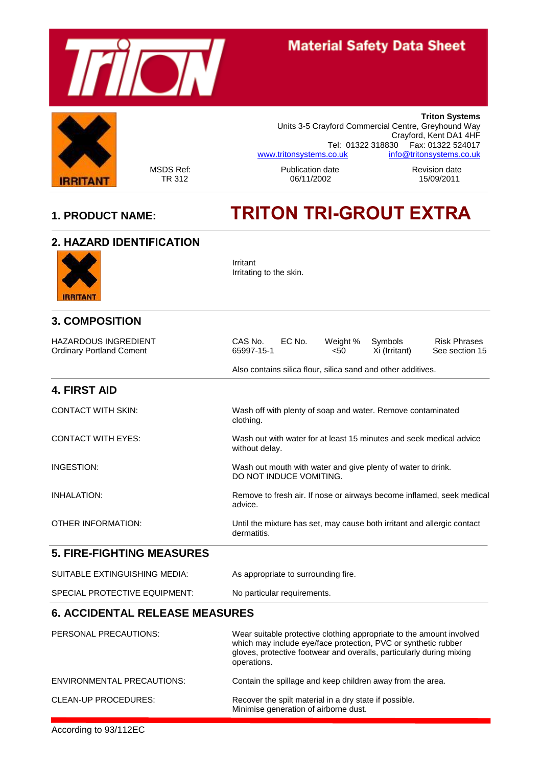

# **Material Safety Data Sheet**



**Triton Systems** Units 3-5 Crayford Commercial Centre, Greyhound Way Crayford, Kent DA1 4HF Tel: 01322 318830 Fax: 01322 524017 [www.tritonsystems.co.uk](http://www.tritonsystems.co.uk/) [info@tritonsystems.co.uk](mailto:info@tritonsystems.co.uk)

MSDS Ref: Publication date Revision date 06/11/2002

# **1. PRODUCT NAME: TRITON TRI-GROUT EXTRA**

| <b>2. HAZARD IDENTIFICATION</b>                                |                                                                                                                          |  |  |
|----------------------------------------------------------------|--------------------------------------------------------------------------------------------------------------------------|--|--|
| IRRITANT                                                       | Irritant<br>Irritating to the skin.                                                                                      |  |  |
| <b>3. COMPOSITION</b>                                          |                                                                                                                          |  |  |
| <b>HAZARDOUS INGREDIENT</b><br><b>Ordinary Portland Cement</b> | CAS No.<br>EC No.<br><b>Risk Phrases</b><br>Weight %<br>Symbols<br>65997-15-1<br>< 50<br>Xi (Irritant)<br>See section 15 |  |  |
|                                                                | Also contains silica flour, silica sand and other additives.                                                             |  |  |
| <b>4. FIRST AID</b>                                            |                                                                                                                          |  |  |
| <b>CONTACT WITH SKIN:</b>                                      | Wash off with plenty of soap and water. Remove contaminated<br>clothing.                                                 |  |  |
| <b>CONTACT WITH EYES:</b>                                      | Wash out with water for at least 15 minutes and seek medical advice<br>without delay.                                    |  |  |
| INGESTION:                                                     | Wash out mouth with water and give plenty of water to drink.<br>DO NOT INDUCE VOMITING.                                  |  |  |
| <b>INHALATION:</b>                                             | Remove to fresh air. If nose or airways become inflamed, seek medical<br>advice.                                         |  |  |
| <b>OTHER INFORMATION:</b>                                      | Until the mixture has set, may cause both irritant and allergic contact<br>dermatitis.                                   |  |  |
| <b>5. FIRE-FIGHTING MEASURES</b>                               |                                                                                                                          |  |  |
| SUITABLE EXTINGUISHING MEDIA:                                  | As appropriate to surrounding fire.                                                                                      |  |  |
| SPECIAL PROTECTIVE EQUIPMENT:                                  | No particular requirements.                                                                                              |  |  |
| <b>6. ACCIDENTAL RELEASE MEASURES</b>                          |                                                                                                                          |  |  |

| PERSONAL PRECAUTIONS:             | Wear suitable protective clothing appropriate to the amount involved<br>which may include eye/face protection, PVC or synthetic rubber<br>gloves, protective footwear and overalls, particularly during mixing<br>operations. |
|-----------------------------------|-------------------------------------------------------------------------------------------------------------------------------------------------------------------------------------------------------------------------------|
| <b>ENVIRONMENTAL PRECAUTIONS:</b> | Contain the spillage and keep children away from the area.                                                                                                                                                                    |
| CLEAN-UP PROCEDURES:              | Recover the spilt material in a dry state if possible.<br>Minimise generation of airborne dust.                                                                                                                               |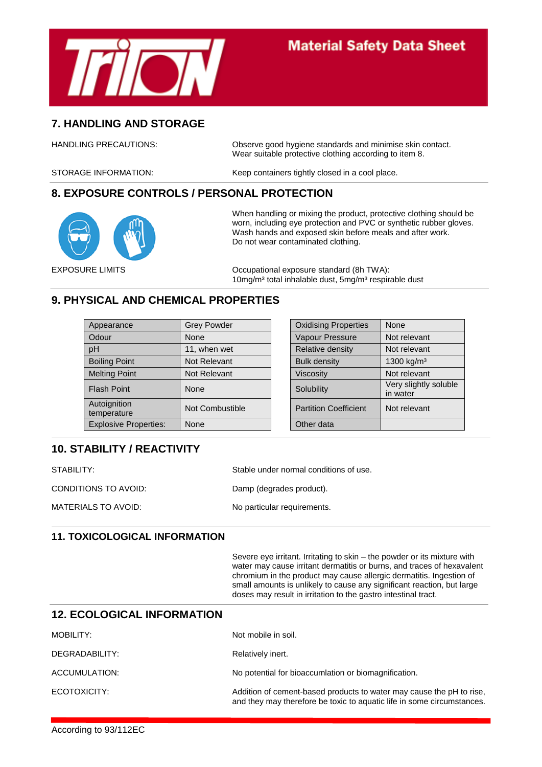

#### **7. HANDLING AND STORAGE**

HANDLING PRECAUTIONS: Observe good hygiene standards and minimise skin contact. Wear suitable protective clothing according to item 8.

STORAGE INFORMATION: Keep containers tightly closed in a cool place.

#### **8. EXPOSURE CONTROLS / PERSONAL PROTECTION**



When handling or mixing the product, protective clothing should be worn, including eye protection and PVC or synthetic rubber gloves. Wash hands and exposed skin before meals and after work. Do not wear contaminated clothing.

EXPOSURE LIMITS Occupational exposure standard (8h TWA): 10mg/m<sup>3</sup> total inhalable dust, 5mg/m<sup>3</sup> respirable dust

#### **9. PHYSICAL AND CHEMICAL PROPERTIES**

| Appearance                   | <b>Grey Powder</b> | <b>Oxidising Properties</b>  | None                              |
|------------------------------|--------------------|------------------------------|-----------------------------------|
| Odour                        | None               | Vapour Pressure              | Not relevant                      |
| pH                           | 11, when wet       | Relative density             | Not relevant                      |
| <b>Boiling Point</b>         | Not Relevant       | <b>Bulk density</b>          | 1300 kg/m <sup>3</sup>            |
| <b>Melting Point</b>         | Not Relevant       | Viscosity                    | Not relevant                      |
| <b>Flash Point</b>           | None               | Solubility                   | Very slightly soluble<br>in water |
| Autoignition<br>temperature  | Not Combustible    | <b>Partition Coefficient</b> | Not relevant                      |
| <b>Explosive Properties:</b> | None               | Other data                   |                                   |
|                              |                    |                              |                                   |

| <b>Oxidising Properties</b>  | None                              |
|------------------------------|-----------------------------------|
| Vapour Pressure              | Not relevant                      |
| <b>Relative density</b>      | Not relevant                      |
| <b>Bulk density</b>          | 1300 kg/m <sup>3</sup>            |
| <b>Viscosity</b>             | Not relevant                      |
| Solubility                   | Very slightly soluble<br>in water |
| <b>Partition Coefficient</b> | Not relevant                      |
| Other data                   |                                   |

### **10. STABILITY / REACTIVITY**

| STABILITY:           | Stable under normal conditions of use. |
|----------------------|----------------------------------------|
| CONDITIONS TO AVOID: | Damp (degrades product).               |
| MATERIALS TO AVOID:  | No particular requirements.            |

#### **11. TOXICOLOGICAL INFORMATION**

Severe eye irritant. Irritating to skin – the powder or its mixture with water may cause irritant dermatitis or burns, and traces of hexavalent chromium in the product may cause allergic dermatitis. Ingestion of small amounts is unlikely to cause any significant reaction, but large doses may result in irritation to the gastro intestinal tract.

#### **12. ECOLOGICAL INFORMATION**

| MOBILITY:      | Not mobile in soil.                                                                                                                            |
|----------------|------------------------------------------------------------------------------------------------------------------------------------------------|
| DEGRADABILITY: | Relatively inert.                                                                                                                              |
| ACCUMULATION:  | No potential for bioaccumlation or biomagnification.                                                                                           |
| ECOTOXICITY:   | Addition of cement-based products to water may cause the pH to rise,<br>and they may therefore be toxic to aquatic life in some circumstances. |